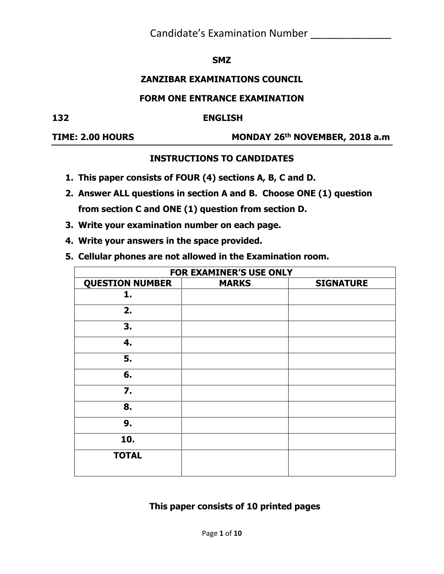### **SMZ**

### **ZANZIBAR EXAMINATIONS COUNCIL**

### **FORM ONE ENTRANCE EXAMINATION**

#### **132 ENGLISH**

**TIME: 2.00 HOURS** 

**th NOVEMBER, 2018 a.m**

### **INSTRUCTIONS TO CANDIDATES**

- **1. This paper consists of FOUR (4) sections A, B, C and D.**
- **2. Answer ALL questions in section A and B. Choose ONE (1) question from section C and ONE (1) question from section D.**
- **3. Write your examination number on each page.**
- **4. Write your answers in the space provided.**
- **5. Cellular phones are not allowed in the Examination room.**

| FOR EXAMINER'S USE ONLY |              |                  |
|-------------------------|--------------|------------------|
| <b>QUESTION NUMBER</b>  | <b>MARKS</b> | <b>SIGNATURE</b> |
| 1.                      |              |                  |
| 2.                      |              |                  |
| 3.                      |              |                  |
| 4.                      |              |                  |
| 5.                      |              |                  |
| 6.                      |              |                  |
| $\overline{7}$ .        |              |                  |
| 8.                      |              |                  |
| 9.                      |              |                  |
| 10.                     |              |                  |
| <b>TOTAL</b>            |              |                  |

**This paper consists of 10 printed pages**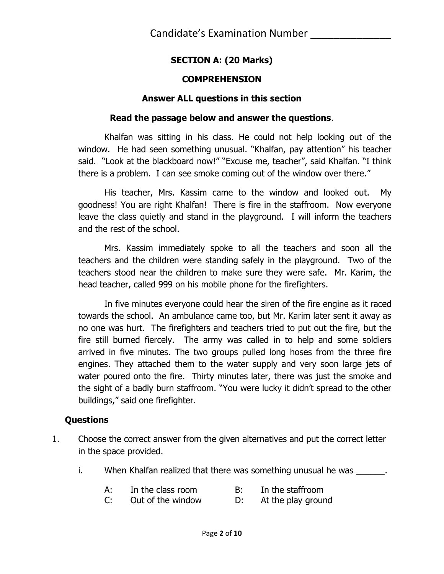## **SECTION A: (20 Marks)**

### **COMPREHENSION**

### **Answer ALL questions in this section**

### **Read the passage below and answer the questions**.

Khalfan was sitting in his class. He could not help looking out of the window. He had seen something unusual. "Khalfan, pay attention" his teacher said. "Look at the blackboard now!" "Excuse me, teacher", said Khalfan. "I think there is a problem. I can see smoke coming out of the window over there."

His teacher, Mrs. Kassim came to the window and looked out. My goodness! You are right Khalfan! There is fire in the staffroom. Now everyone leave the class quietly and stand in the playground. I will inform the teachers and the rest of the school.

Mrs. Kassim immediately spoke to all the teachers and soon all the teachers and the children were standing safely in the playground. Two of the teachers stood near the children to make sure they were safe. Mr. Karim, the head teacher, called 999 on his mobile phone for the firefighters.

In five minutes everyone could hear the siren of the fire engine as it raced towards the school. An ambulance came too, but Mr. Karim later sent it away as no one was hurt. The firefighters and teachers tried to put out the fire, but the fire still burned fiercely. The army was called in to help and some soldiers arrived in five minutes. The two groups pulled long hoses from the three fire engines. They attached them to the water supply and very soon large jets of water poured onto the fire. Thirty minutes later, there was just the smoke and the sight of a badly burn staffroom. "You were lucky it didn't spread to the other buildings," said one firefighter.

### **Questions**

- 1. Choose the correct answer from the given alternatives and put the correct letter in the space provided.
	- i. When Khalfan realized that there was something unusual he was
		- A: In the class room B: In the staffroom
		- C: Out of the window D: At the play ground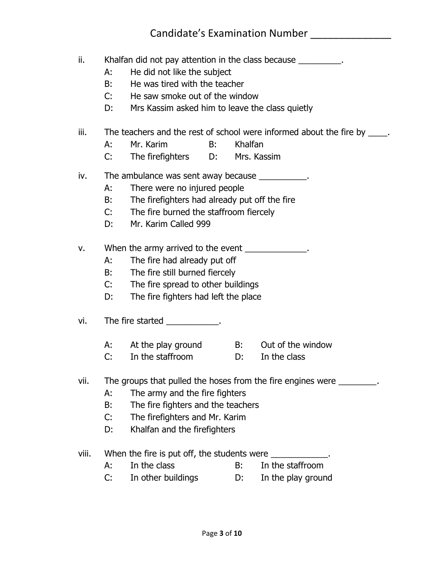- ii. Khalfan did not pay attention in the class because
	- A: He did not like the subject
	- B: He was tired with the teacher
	- C: He saw smoke out of the window
	- D: Mrs Kassim asked him to leave the class quietly
- iii. The teachers and the rest of school were informed about the fire by  $\qquad$ .
	- A: Mr. Karim B: Khalfan
	- C: The firefighters D: Mrs. Kassim
- iv. The ambulance was sent away because  $\blacksquare$ 
	- A: There were no injured people
	- B: The firefighters had already put off the fire
	- C: The fire burned the staffroom fiercely
	- D: Mr. Karim Called 999
- v. When the army arrived to the event \_\_\_\_\_\_\_\_\_\_\_\_.
	- A: The fire had already put off
	- B: The fire still burned fiercely
	- C: The fire spread to other buildings
	- D: The fire fighters had left the place
- vi. The fire started The start of the start of the start of the start of the start of the start of the start o
	- A: At the play ground B: Out of the window
	- C: In the staffroom D: In the class
- vii. The groups that pulled the hoses from the fire engines were \_\_\_\_\_\_\_\_.
	- A: The army and the fire fighters
	- B: The fire fighters and the teachers
	- C: The firefighters and Mr. Karim
	- D: Khalfan and the firefighters
- viii. When the fire is put off, the students were \_\_\_\_\_\_\_\_\_\_\_\_\_\_\_\_\_\_\_\_\_\_\_\_\_\_\_\_\_\_
	- A: In the class B: In the staffroom
	- C: In other buildings D: In the play ground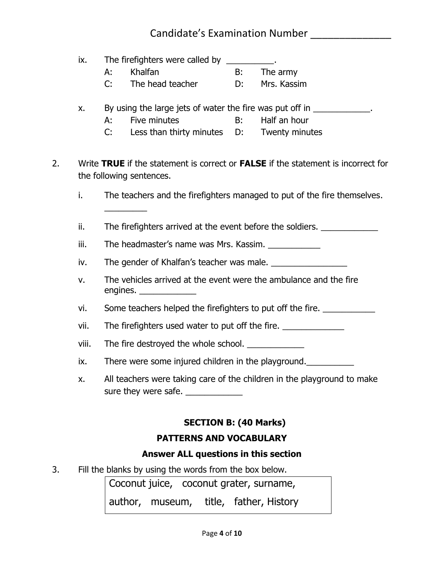|    | ix.   | The firefighters were called by ___________. |                                                                   |    |                                                                                                                                                                              |
|----|-------|----------------------------------------------|-------------------------------------------------------------------|----|------------------------------------------------------------------------------------------------------------------------------------------------------------------------------|
|    |       | A:                                           | Khalfan                                                           | B: | The army                                                                                                                                                                     |
|    |       | C:                                           | The head teacher                                                  | D: | Mrs. Kassim                                                                                                                                                                  |
| 2. | X.    | A:<br>C:                                     | Five minutes<br>Less than thirty minutes D: Twenty minutes        | B: | By using the large jets of water the fire was put off in _____________.<br>Half an hour<br>Write TRUE if the statement is correct or FALSE if the statement is incorrect for |
|    |       |                                              | the following sentences.                                          |    |                                                                                                                                                                              |
|    |       |                                              |                                                                   |    |                                                                                                                                                                              |
|    | i.    |                                              |                                                                   |    | The teachers and the firefighters managed to put of the fire themselves.                                                                                                     |
|    |       |                                              |                                                                   |    |                                                                                                                                                                              |
|    | ii.   |                                              |                                                                   |    | The firefighters arrived at the event before the soldiers. ______________________                                                                                            |
|    | iii.  |                                              | The headmaster's name was Mrs. Kassim.                            |    |                                                                                                                                                                              |
|    | iv.   |                                              |                                                                   |    |                                                                                                                                                                              |
|    | v.    |                                              | The vehicles arrived at the event were the ambulance and the fire |    |                                                                                                                                                                              |
|    | vi.   |                                              |                                                                   |    | Some teachers helped the firefighters to put off the fire.                                                                                                                   |
|    | vii.  |                                              | The firefighters used water to put off the fire.                  |    |                                                                                                                                                                              |
|    | viii. |                                              | The fire destroyed the whole school. _____________                |    |                                                                                                                                                                              |
|    | ix.   |                                              | There were some injured children in the playground.               |    |                                                                                                                                                                              |
|    | Х.    |                                              | sure they were safe.                                              |    | All teachers were taking care of the children in the playground to make                                                                                                      |
|    |       |                                              | <b>SECTION B: (40 Marks)</b>                                      |    |                                                                                                                                                                              |
|    |       |                                              | <b>PATTERNS AND VOCABULARY</b>                                    |    |                                                                                                                                                                              |
|    |       |                                              | Answer ALL questions in this section                              |    |                                                                                                                                                                              |
| 3. |       |                                              | Fill the blanks by using the words from the box below.            |    |                                                                                                                                                                              |

Coconut juice, coconut grater, surname, author, museum, title, father, History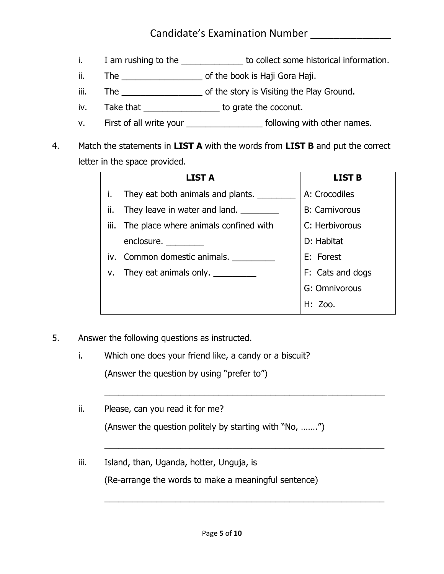- i. I am rushing to the the to collect some historical information.
- ii. The **the set of the book is Haji Gora Haji.**
- iii. The \_\_\_\_\_\_\_\_\_\_\_\_\_\_\_\_\_\_\_\_\_\_\_\_\_ of the story is Visiting the Play Ground.
- iv. Take that \_\_\_\_\_\_\_\_\_\_\_\_\_\_\_\_\_ to grate the coconut.
- v. First of all write your \_\_\_\_\_\_\_\_\_\_\_\_\_\_\_\_\_\_\_\_\_\_\_ following with other names.
- 4. Match the statements in **LIST A** with the words from **LIST B** and put the correct letter in the space provided.

|     | <b>LIST A</b>                              | <b>LIST B</b>         |
|-----|--------------------------------------------|-----------------------|
| i.  | They eat both animals and plants.          | A: Crocodiles         |
| ii. | They leave in water and land.              | <b>B: Carnivorous</b> |
|     | iii. The place where animals confined with | C: Herbivorous        |
|     | enclosure.                                 | D: Habitat            |
|     | iv. Common domestic animals.               | E: Forest             |
| v.  | They eat animals only.                     | F: Cats and dogs      |
|     |                                            | G: Omnivorous         |
|     |                                            | H: Zoo.               |

 $\overline{a_1}$  ,  $\overline{a_2}$  ,  $\overline{a_3}$  ,  $\overline{a_4}$  ,  $\overline{a_5}$  ,  $\overline{a_6}$  ,  $\overline{a_7}$  ,  $\overline{a_8}$  ,  $\overline{a_9}$  ,  $\overline{a_9}$  ,  $\overline{a_9}$  ,  $\overline{a_9}$  ,  $\overline{a_9}$  ,  $\overline{a_9}$  ,  $\overline{a_9}$  ,  $\overline{a_9}$  ,  $\overline{a_9}$  ,

 $\overline{a_1}$  , and the set of the set of the set of the set of the set of the set of the set of the set of the set of the set of the set of the set of the set of the set of the set of the set of the set of the set of the se

 $\overline{a_1}$  , and the set of the set of the set of the set of the set of the set of the set of the set of the set of the set of the set of the set of the set of the set of the set of the set of the set of the set of the se

- 5. Answer the following questions as instructed.
	- i. Which one does your friend like, a candy or a biscuit?

(Answer the question by using "prefer to")

- ii. Please, can you read it for me? (Answer the question politely by starting with "No, …….")
- iii. Island, than, Uganda, hotter, Unguja, is

(Re-arrange the words to make a meaningful sentence)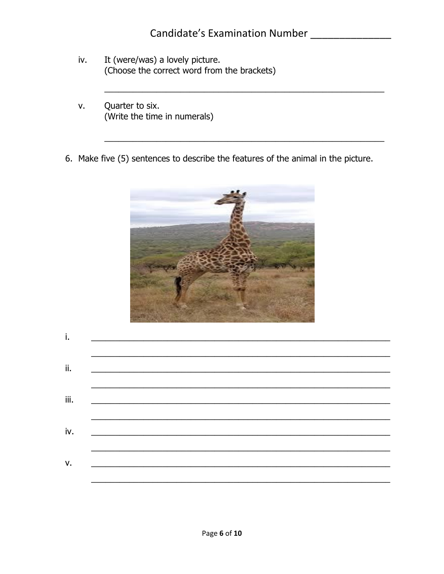- It (were/was) a lovely picture. iv. (Choose the correct word from the brackets)
- Quarter to six. v. (Write the time in numerals)
- 6. Make five (5) sentences to describe the features of the animal in the picture.



| Τ.   | and the control of the control of the control of the control of the control of the control of the control of the     |  |
|------|----------------------------------------------------------------------------------------------------------------------|--|
|      |                                                                                                                      |  |
| ii.  | <u> 2000 - 2000 - 2000 - 2000 - 2000 - 2000 - 2000 - 2000 - 2000 - 2000 - 2000 - 2000 - 2000 - 2000 - 2000 - 200</u> |  |
|      |                                                                                                                      |  |
| iii. |                                                                                                                      |  |
|      |                                                                                                                      |  |
| iv.  |                                                                                                                      |  |
|      |                                                                                                                      |  |
| v.   |                                                                                                                      |  |
|      |                                                                                                                      |  |
|      |                                                                                                                      |  |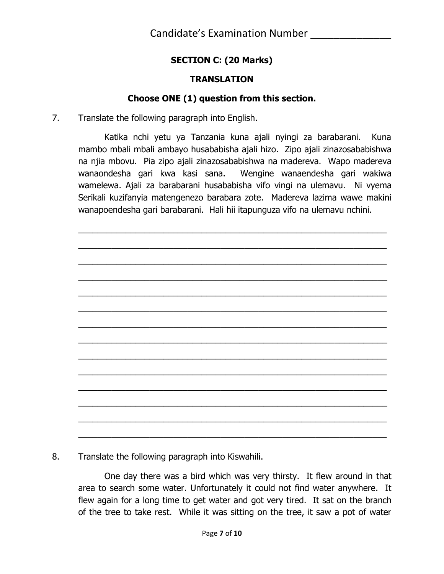## **SECTION C: (20 Marks)**

### **TRANSLATION**

### **Choose ONE (1) question from this section.**

7. Translate the following paragraph into English.

Katika nchi yetu ya Tanzania kuna ajali nyingi za barabarani. Kuna mambo mbali mbali ambayo husababisha ajali hizo. Zipo ajali zinazosababishwa na njia mbovu. Pia zipo ajali zinazosababishwa na madereva. Wapo madereva wanaondesha gari kwa kasi sana. Wengine wanaendesha gari wakiwa wamelewa. Ajali za barabarani husababisha vifo vingi na ulemavu. Ni vyema Serikali kuzifanyia matengenezo barabara zote. Madereva lazima wawe makini wanapoendesha gari barabarani. Hali hii itapunguza vifo na ulemavu nchini.

 $\overline{a_1}$  , and the set of the set of the set of the set of the set of the set of the set of the set of the set of the set of the set of the set of the set of the set of the set of the set of the set of the set of the se

 $\overline{a_1}$  , and the set of the set of the set of the set of the set of the set of the set of the set of the set of the set of the set of the set of the set of the set of the set of the set of the set of the set of the se  $\overline{a_1}$  , and the set of the set of the set of the set of the set of the set of the set of the set of the set of the set of the set of the set of the set of the set of the set of the set of the set of the set of the se  $\overline{a_1}$  ,  $\overline{a_2}$  ,  $\overline{a_3}$  ,  $\overline{a_4}$  ,  $\overline{a_5}$  ,  $\overline{a_6}$  ,  $\overline{a_7}$  ,  $\overline{a_8}$  ,  $\overline{a_9}$  ,  $\overline{a_9}$  ,  $\overline{a_1}$  ,  $\overline{a_2}$  ,  $\overline{a_3}$  ,  $\overline{a_4}$  ,  $\overline{a_5}$  ,  $\overline{a_7}$  ,  $\overline{a_8}$  ,  $\overline{a_1}$  , and the set of the set of the set of the set of the set of the set of the set of the set of the set of the set of the set of the set of the set of the set of the set of the set of the set of the set of the se  $\overline{a_1}$  , and the set of the set of the set of the set of the set of the set of the set of the set of the set of the set of the set of the set of the set of the set of the set of the set of the set of the set of the se  $\overline{a_1}$  , and the set of the set of the set of the set of the set of the set of the set of the set of the set of the set of the set of the set of the set of the set of the set of the set of the set of the set of the se  $\overline{a_1}$  ,  $\overline{a_2}$  ,  $\overline{a_3}$  ,  $\overline{a_4}$  ,  $\overline{a_5}$  ,  $\overline{a_6}$  ,  $\overline{a_7}$  ,  $\overline{a_8}$  ,  $\overline{a_9}$  ,  $\overline{a_9}$  ,  $\overline{a_9}$  ,  $\overline{a_9}$  ,  $\overline{a_9}$  ,  $\overline{a_9}$  ,  $\overline{a_9}$  ,  $\overline{a_9}$  ,  $\overline{a_9}$  ,  $\overline{a_1}$  , and the set of the set of the set of the set of the set of the set of the set of the set of the set of the set of the set of the set of the set of the set of the set of the set of the set of the set of the se  $\overline{a_1}$  , and the set of the set of the set of the set of the set of the set of the set of the set of the set of the set of the set of the set of the set of the set of the set of the set of the set of the set of the se  $\overline{a_1}$  , and the set of the set of the set of the set of the set of the set of the set of the set of the set of the set of the set of the set of the set of the set of the set of the set of the set of the set of the se  $\overline{a_1}$  ,  $\overline{a_2}$  ,  $\overline{a_3}$  ,  $\overline{a_4}$  ,  $\overline{a_5}$  ,  $\overline{a_6}$  ,  $\overline{a_7}$  ,  $\overline{a_8}$  ,  $\overline{a_9}$  ,  $\overline{a_9}$  ,  $\overline{a_9}$  ,  $\overline{a_9}$  ,  $\overline{a_9}$  ,  $\overline{a_9}$  ,  $\overline{a_9}$  ,  $\overline{a_9}$  ,  $\overline{a_9}$  ,  $\overline{a_1}$  , and the set of the set of the set of the set of the set of the set of the set of the set of the set of the set of the set of the set of the set of the set of the set of the set of the set of the set of the se  $\overline{a_1}$  , and the set of the set of the set of the set of the set of the set of the set of the set of the set of the set of the set of the set of the set of the set of the set of the set of the set of the set of the se

8. Translate the following paragraph into Kiswahili.

One day there was a bird which was very thirsty. It flew around in that area to search some water. Unfortunately it could not find water anywhere. It flew again for a long time to get water and got very tired. It sat on the branch of the tree to take rest. While it was sitting on the tree, it saw a pot of water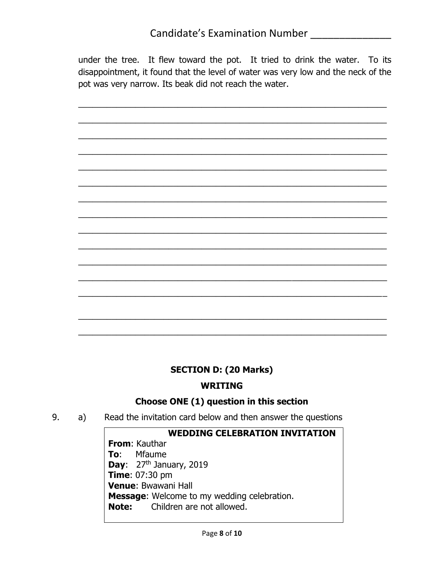under the tree. It flew toward the pot. It tried to drink the water. To its disappointment, it found that the level of water was very low and the neck of the pot was very narrow. Its beak did not reach the water.

 $\overline{a_1}$  , and the set of the set of the set of the set of the set of the set of the set of the set of the set of the set of the set of the set of the set of the set of the set of the set of the set of the set of the se

 $\overline{a_1}$  , and the set of the set of the set of the set of the set of the set of the set of the set of the set of the set of the set of the set of the set of the set of the set of the set of the set of the set of the se

 $\overline{a_1}$  , and the set of the set of the set of the set of the set of the set of the set of the set of the set of the set of the set of the set of the set of the set of the set of the set of the set of the set of the se

 $\overline{a_1}$  ,  $\overline{a_2}$  ,  $\overline{a_3}$  ,  $\overline{a_4}$  ,  $\overline{a_5}$  ,  $\overline{a_6}$  ,  $\overline{a_7}$  ,  $\overline{a_8}$  ,  $\overline{a_9}$  ,  $\overline{a_9}$  ,  $\overline{a_9}$  ,  $\overline{a_9}$  ,  $\overline{a_9}$  ,  $\overline{a_9}$  ,  $\overline{a_9}$  ,  $\overline{a_9}$  ,  $\overline{a_9}$  ,

 $\overline{a_1}$  , and the set of the set of the set of the set of the set of the set of the set of the set of the set of the set of the set of the set of the set of the set of the set of the set of the set of the set of the se

 $\overline{a_1}$  , and the set of the set of the set of the set of the set of the set of the set of the set of the set of the set of the set of the set of the set of the set of the set of the set of the set of the set of the se

 $\overline{a_1}$  , and the set of the set of the set of the set of the set of the set of the set of the set of the set of the set of the set of the set of the set of the set of the set of the set of the set of the set of the se

 $\overline{a_1}$  ,  $\overline{a_2}$  ,  $\overline{a_3}$  ,  $\overline{a_4}$  ,  $\overline{a_5}$  ,  $\overline{a_6}$  ,  $\overline{a_7}$  ,  $\overline{a_8}$  ,  $\overline{a_9}$  ,  $\overline{a_9}$  ,  $\overline{a_9}$  ,  $\overline{a_9}$  ,  $\overline{a_9}$  ,  $\overline{a_9}$  ,  $\overline{a_9}$  ,  $\overline{a_9}$  ,  $\overline{a_9}$  ,

 $\overline{a_1}$  , and the set of the set of the set of the set of the set of the set of the set of the set of the set of the set of the set of the set of the set of the set of the set of the set of the set of the set of the se

 $\overline{a_1}$  ,  $\overline{a_2}$  ,  $\overline{a_3}$  ,  $\overline{a_4}$  ,  $\overline{a_5}$  ,  $\overline{a_6}$  ,  $\overline{a_7}$  ,  $\overline{a_8}$  ,  $\overline{a_9}$  ,  $\overline{a_9}$  ,  $\overline{a_1}$  ,  $\overline{a_2}$  ,  $\overline{a_3}$  ,  $\overline{a_4}$  ,  $\overline{a_5}$  ,  $\overline{a_7}$  ,  $\overline{a_8}$  ,

 $\overline{a_1}$  , and the set of the set of the set of the set of the set of the set of the set of the set of the set of the set of the set of the set of the set of the set of the set of the set of the set of the set of the se

 $\overline{a_1}$  , and the set of the set of the set of the set of the set of the set of the set of the set of the set of the set of the set of the set of the set of the set of the set of the set of the set of the set of the se

\_\_\_\_\_\_\_\_\_\_\_\_\_\_\_\_\_\_\_\_\_\_\_\_\_\_\_\_\_\_\_\_\_\_\_\_\_\_\_\_\_\_\_\_\_\_\_\_\_\_\_\_\_\_\_\_\_\_\_\_\_\_\_\_\_

 $\overline{a_1}$  , and the set of the set of the set of the set of the set of the set of the set of the set of the set of the set of the set of the set of the set of the set of the set of the set of the set of the set of the se

 $\overline{a_1}$  , and the set of the set of the set of the set of the set of the set of the set of the set of the set of the set of the set of the set of the set of the set of the set of the set of the set of the set of the se

### **SECTION D: (20 Marks)**

**WRITING**

### **Choose ONE (1) question in this section**

9. a) Read the invitation card below and then answer the questions

#### **WEDDING CELEBRATION INVITATION**

**From**: Kauthar **To**: Mfaume **Day:** 27<sup>th</sup> January, 2019 **Time**: 07:30 pm **Venue**: Bwawani Hall **Message**: Welcome to my wedding celebration. **Note:** Children are not allowed.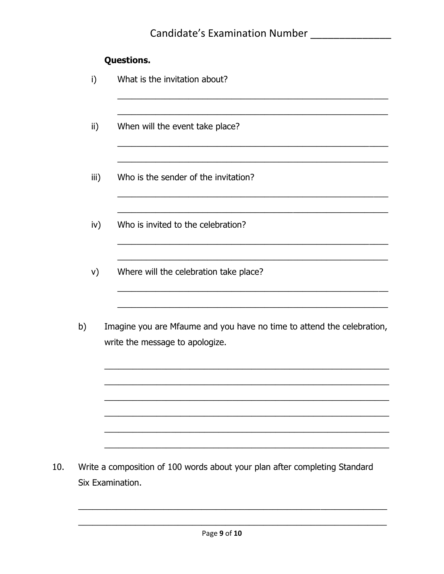# **Questions.**

|     | i)   | What is the invitation about?                                                                             |
|-----|------|-----------------------------------------------------------------------------------------------------------|
|     | ii)  | When will the event take place?                                                                           |
|     | iii) | Who is the sender of the invitation?                                                                      |
|     | iv)  | Who is invited to the celebration?                                                                        |
|     | V)   | Where will the celebration take place?                                                                    |
|     | b)   | Imagine you are Mfaume and you have no time to attend the celebration,<br>write the message to apologize. |
|     |      |                                                                                                           |
|     |      |                                                                                                           |
| 10. |      | Write a composition of 100 words about your plan after completing Standard<br>Six Examination.            |